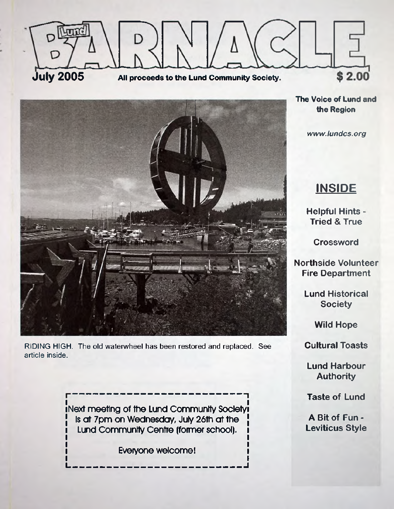



RIDING HIGH. The old waterwheel has been restored and replaced. See article inside.

> iNext meeting of the Lund Community Societyi Is at 7pm on Wednesday, July 26th at the Lund Community Centre (former school).

> > Everyone welcome!

L <u>www.comuneus.comunic.comunis</u>

**The Voice of Lund and the Region**

*www. lundcs. org*

## **INSIDE**

**Helpful Hints • Tried & True**

**Crossword**

**Northside Volunteer Fire Department**

> **Lund Historical Society**

> > **Wild Hope**

**Cultural Toasts**

**Lund Harbour Authority**

**Taste of Lund**

**A Bit of Fun - Leviticus Style**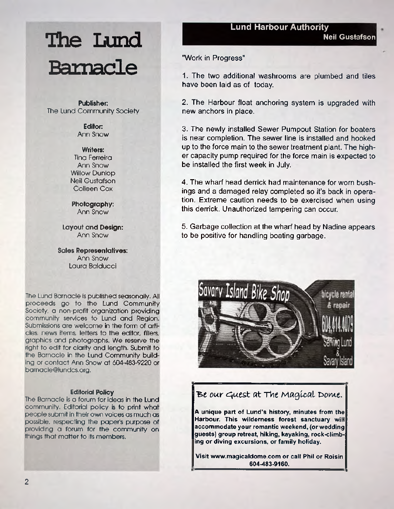#### **Lund Harbour Authority**

# **The Lund Barnacle**

**Publisher:** The Lund Community Society

> **Editor:** Ann Snow

**Writers:** Tina Ferreira Ann Snow Willow Dunlop Neil Gustafson Colleen Cox

**Photography:** Ann Snow

**Layout and Design:** Ann Snow

**Sales Representatives:** Ann Snow Laura Baiducci

The Lund Barnacle is published seasonally. All proceeds go to the Lund Community Society, a non-profit organization providing community services to Lund and Region. Submissions are welcome in the form of articles, news items, letters to the editor, fillers, graphics and photographs. We reserve the right to edit for clarity and length. Submit to the Barnacle in the Lund Community building or contact Ann Snow at 604-483-9220 or [barnacle@lundcs.org.](mailto:barnacle@lundcs.org)

#### **Editorial Policy**

The Barnacle is a forum for ideas in the Lund community. Editorial policy is to print what people submit in their own voices as much as possible, respecting the paper's purpose of providing a forum for the community on things that matter to its members.

"Work in Progress"

1. The two additional washrooms are plumbed and tiles have been laid as of today

2. The Harbour float anchoring system is upgraded with new anchors in place.

3. The newly installed Sewer Pumpout Station for boaters is near completion. The sewer line is installed and hooked up to the force main to the sewer treatment plant. The higher capacity pump required for the force main is expected to be installed the first week in July.

4. The wharf head derrick had maintenance for worn bushings and a damaged relay completed so it's back in operation. Extreme caution needs to be exercised when using this derrick. Unauthorized tampering can occur.

5. Garbage collection at the wharf head by Nadine appears to be positive for handling boating garbage.



### Be our Guest at *The Magical Dome*.

**A unique part of Lund's history, minutes from the Harbour. This wilderness forest sanctuary will accommodate your romantic weekend, (or wedding guests) group retreat, hiking, kayaking, rock-climbing or diving excursions, or family holiday**

**Visit [www.magicaldome.com](http://www.magicaldome.com) or call Phil or Roisin 604-483-9160.**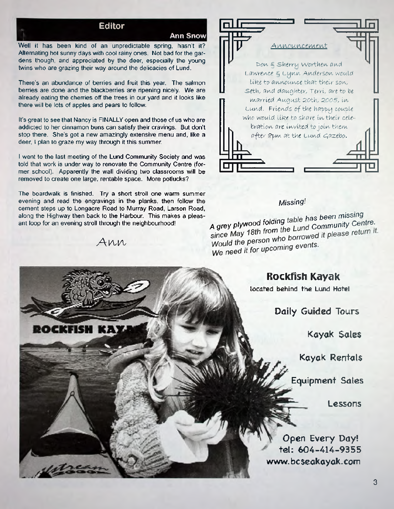#### **Editor**

**Ann Snow**

Well it has been kind of an unpredictable spring, hasn't it? Alternating hot sunny days with cool rainy ones. Not bad for the gardens though, and appreciated by the deer, especially the young twins who are grazing their way around the delicacies of Lund.

There's an abundance of berries and fruit this year. The salmon berries are done and the blackberries are ripening nicely. We are already eating the cherries off the trees in our yard and it looks like there will be lots of apples and pears to follow.

It's great to see that Nancy is FINALLY open and those of us who are addicted to her cinnamon buns can satisfy their cravings. But don't stop there. She's got a new amazingly extensive menu and, like a deer, I plan to graze my way through it this summer.

I went to the last meeting of the Lund Community Society and was told that work is under way to renovate the Community Centre (former school). Apparently the wall dividing two classrooms will be removed to create one large, rentable space. More potlucks?

The boardwalk is finished. Try a short stroll one warm summer evening and read the engravings in the planks, then follow the cement steps up to Longacre Road to Murray Road, Larson Road, along the Highway then back to the Harbour. This makes a pleasant loop for an evening stroll through the neighbourhood!

Ann

16 I 3 V



#### *Missing*

A grey plywood folding table has been missing since May 18th from the Lund Community Centre.<br>Would the person who borrowed it please return it. Would the person who been<br>We need it for upcoming events.

### **Rockfish Kayak**

located behind the Lund Hotel

**Daily Guided Tours**

**Kayak Sales**

**Kayak Rentals**

**Equipment Sales**

**Lessons**

**[www.bcseakayak.com](http://www.bcseakayak.com) Open Every Day! tel: 604-414-9355**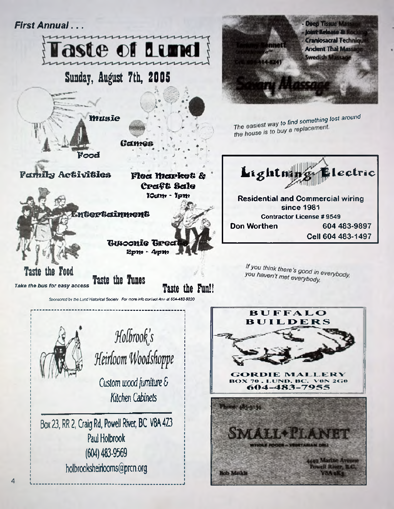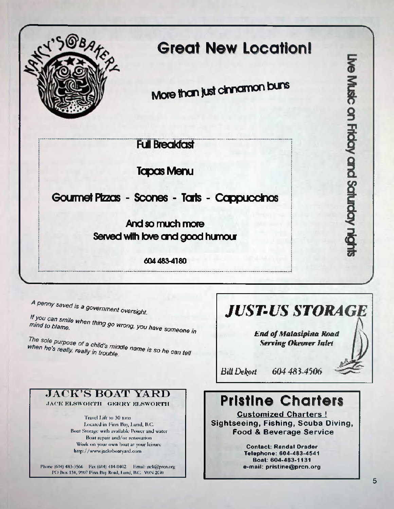

## **Great New Location!**

More than just dinnamon buns

**Full Breakfast** 

**Tapas Menu** 

### **Gourmet Pizzas - Scones - Tarts - Cappuccinos**

**And so much mote Served with love and good humour**

**6044884180**

*A Penny saved is >s* **a** *government oversight.*

mind to blame. **When thing go wrong, you have someone i** *in*

*The sole purpose of a child's middle name is so he can tell*<br>when he's really, really in trouble

## **JACK'S BOAT YARD**<br>**JACK ELSWORTH** GERRY ELSWORTH

Boat Storage with available Power and water Boat repair and/or renovation Work on your own boat at your leisure<br> **Markows** Letterstand at the contact: Randal Drader<br> **Contact: Randal Drader**<br> **Contact: Randal Drader** 

Phone (604) 483-3566 Fax (604) 414-0402 Email: [jack@prcn.org](mailto:jack@prcn.org)  PO Box 138, 9907 Finn Bay Road, Lund, B.C. VON 2G0

## *JUST-US STORAGE*

Ive Music on Friday and Saturday night

*End of Maiasipinn Rood Serving Okeurer Inlet*

*Bill Dekort* 604 483-4506

## **Pristine Charters**

Travel Lift to 30 tons **Customized Charters !** Located in Finn Bay, Lund, B.C. **Sightseeing, Fishing, Scuba Diving, Food & Beverage Service**

> [h ttp ://www.iacksboatyard.com](http://www.iacksboatyard.com) **Telephone: 604-483-4541 Boat: 604-483-1131 e-mail: [pristine@prcn.org](mailto:pristine@prcn.org)**

> > **5**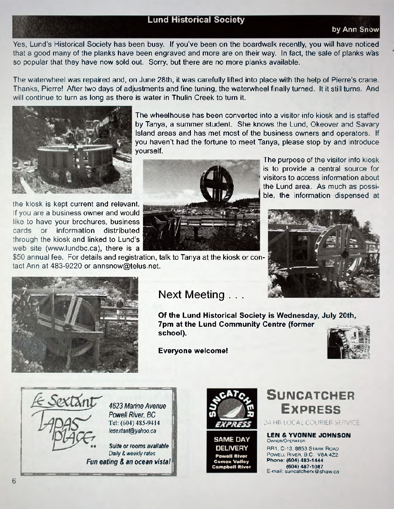#### **Lund Historical Society**

#### **by Ann Snow**

Yes, Lund's Historical Society has been busy. If you've been on the boardwalk recently, you will have noticed that a good many of the planks have been engraved and more are on their way. In fact, the sale of planks was so popular that they have now sold out. Sorry, but there are no more planks available.

The waterwheel was repaired and, on June 28th, it was carefully lifted into place with the help of Pierre's crane. Thanks, Pierre! After two days of adjustments and fine tuning, the waterwheel finally turned. It it still turns. And will continue to turn as long as there is water in Thulin Creek to turn it.



the kiosk is kept current and relevant. If you are a business owner and would like to have your brochures, business cards or information distributed through the kiosk and linked to Lund's web site [\(www.lundbc.ca\)](http://www.lundbc.ca), there is a

tact Ann at 483-9220 or [annsnow@telus.net](mailto:annsnow@telus.net).

The wheelhouse has been converted into a visitor info kiosk and is staffed by Tanya, a summer student. She knows the Lund, Okeover and Savary Island areas and has met most of the business owners and operators. If you haven't had the fortune to meet Tanya, please stop by and introduce yourself.



The purpose of the visitor info kiosk is to provide a central source for visitors to access information about the Lund area. As much as possi ble, the information dispensed at





### Next Meeting . . .

**Of the Lund Historical Society is Wednesday, July 20th, 7pm at the Lund Community Centre (former school).**

**Everyone welcome!**





*4623 Marine Avenue Powell River, BC* Tel: (604) 485-9414 *[lesextant@yahoo.ca](mailto:lesextant@yahoo.ca)*

*Suite or rooms available Daily & weekly rates Fun eating & an ocean vista!* **I**



**SAME DAY DELIVERY** Powell River Comox Valley Campbell River

### **SUNCATCHER Ex p r e s s**

24 HR LOCAL COURIER SERVICE

**LEN & YVONNE JOHNSON** OWNER/OPERATOR **RR1, C-13, 8853 S tark Road**

**Pow ell River, B.C. VBA 4Z2 Phone: (**604**)** 483-1444 **(**604**)** 487-1087 **E-mail: [suncatcherx@shaw.ca](mailto:suncatcherx@shaw.ca)**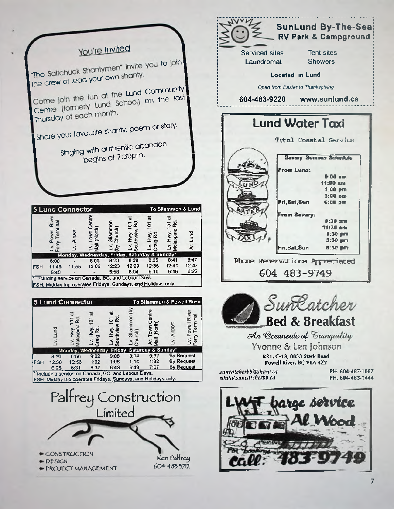

►CONSTRUCTION ►DES5GN **► PROJDCT MANAC.f MTNT**

Ken Palfrey  $604$   $485$   $5712$ .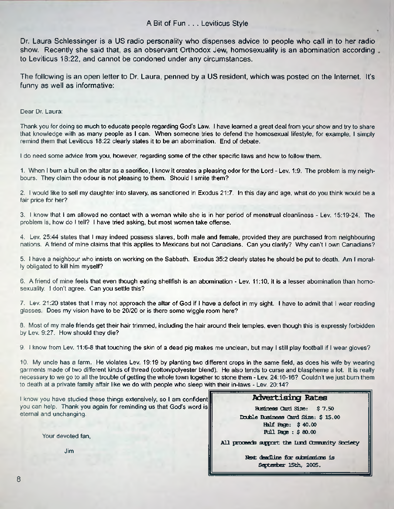Dr. Laura Schlessinger is a US radio personality who dispenses advice to people who call in to her radio show. Recently she said that, as an observant Orthodox Jew, homosexuality is an abomination according to Leviticus 18:22, and cannot be condoned under any circumstances.

The following is an open letter to Dr. Laura, penned by a US resident, which was posted on the Internet. It's funny as well as informative:

#### Dear Dr. Laura:

Thank you for doing so much to educate people regarding God's Law. I have learned a great deal from your show and try to share that knowledge with as many people as I can. When someone tries to defend the homosexual lifestyle, for example, I simply remind them that Leviticus 18:22 clearly states it to be an abomination. End of debate.

I do need some advice from you, however, regarding some of the other specific laws and how to follow them.

1. When I burn a bull on the altar as a sacrifice, I know it creates a pleasing odor for the Lord - Lev. 1:9. The problem is my neighbours. They claim the odour is not pleasing to them. Should I smite them?

2. i would like to sell my daughter into slavery, as sanctioned in Exodus 21:7. In this day and age, what do you think would be a fair price for her?

3. I know that I am allowed no contact with a woman while she is in her period of menstrual cleanliness - Lev 15:19-24. The problem is, how do I tell? I have tried asking, but most women take offense.

4. Lev 25:44 states that I may indeed possess slaves, both male and female, provided they are purchased from neighbouring nations. A friend of mine claims that this applies to Mexicans but not Canadians. Can you clarify? Why can't I own Canadians?

5. I have a neighbour who insists on working on the Sabbath. Exodus 35:2 clearly states he should be put to death. Am I morally obligated to kill him myself?

6. A friend of mine feels that even though eating shellfish is an abomination - Lev. 11:10, it is a lesser abomination than homosexuality. I don't agree. Can you settle this?

7. Lev. 21:20 states that I may not approach the altar of God if I have a defect in my sight. I have to admit that I wear reading glasses. Does my vision have to be 20/20 or is there some wiggle room here?

8. Most of my male friends get their hair trimmed, including the hair around their temples, even though this is expressly forbidden by Lev. 9:27. How should they die?

9. I know from Lev 11:6-8 that touching the skin of a dead pig makes me unclean, but may I still play football if I wear gloves?

10. My uncle has a farm. He violates Lev 19:19 by planting two different crops in the same field, as does his wife by wearing garments made of two different kinds of thread (cotton/polyester blend). He also tends to curse and blaspheme a lot. It is really necessary to we go to all the trouble of getting the whole town together to stone them - Lev 24:10-16? Couldn't we just bum them to death at a private family affair like we do with people who sleep with their in-laws - Lev. 20:14?

I know you have studied these things extensively, so I am confident you can help. Thank you again for reminding us that God's word is eternal and unchanging.

Your devoted fan,

Jim

#### **Advertising Rates**

**Business Card Size: \$ 7.50 Double Business Card Size: \$ 15.00 Half Rigs: \$ 40.00 Full Rge : \$ 80.00**

All proceeds support the lund Comunity Society

Next deadline for submissions is **Septenter 15th, 2005.**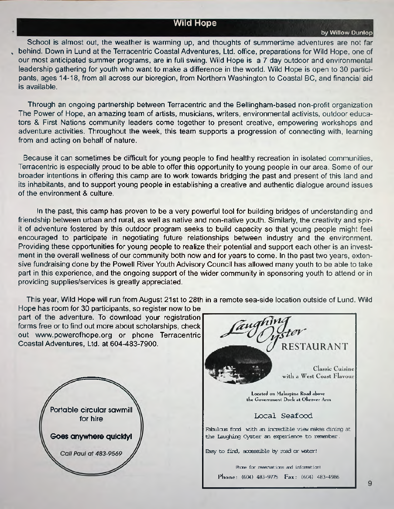#### **Wild Hope**

**by Willow Dunlop**

School is almost out, the weather is warming up, and thoughts of summertime adventures are not far , behind. Down in Lund at the Terracentric Coastal Adventures, Ltd. office, preparations for Wild Hope, one of our most anticipated summer programs, are in full swing. Wild Hope is a 7 day outdoor and environmental leadership gathering for youth who want to make a difference in the world. Wild Hope is open to 30 participants, ages 14-18, from all across our bioregion, from Northern Washington to Coastal BC, and financial aid is available.

Through an ongoing partnership between Terracentric and the Bellingham-based non-profit organization The Power of Hope, an amazing team of artists, musicians, writers, environmental activists, outdoor educators & First Nations community leaders come together to present creative, empowering workshops and adventure activities. Throughout the week, this team supports a progression of connecting with, learning from and acting on behalf of nature.

Because it can sometimes be difficult for young people to find healthy recreation in isolated communities, Terracentric is especially proud to be able to offer this opportunity to young people in our area. Some of our broader intentions in offering this camp are to work towards bridging the past and present of this land and its inhabitants, and to support young people in establishing a creative and authentic dialogue around issues of the environment & culture.

In the past, this camp has proven to be a very powerful tool for building bridges of understanding and friendship between urban and rural, as well as native and non-native youth. Similarly, the creativity and spirit of adventure fostered by this outdoor program seeks to build capacity so that young people might feel encouraged to participate in negotiating future relationships between industry and the environment. Providing these opportunities for young people to realize their potential and support each other is an investment in the overall wellness of our community both now and for years to come. In the past two years, extensive fundraising done by the Powell River Youth Advisory Council has allowed many youth to be able to take part in this experience, and the ongoing support of the wider community in sponsoring youth to attend or in providing supplies/services is greatly appreciated.

This year, Wild Hope will run from August 21st to 28th in a remote sea-side location outside of Lund. Wild

Hope has room for 30 participants, so register now to be part of the adventure. To download your registration forms free or to find out more about scholarships, check out [www.powerofhope.org](http://www.powerofhope.org) or phone Terracentric Coastal Adventures, Ltd. at 604-483-7900.



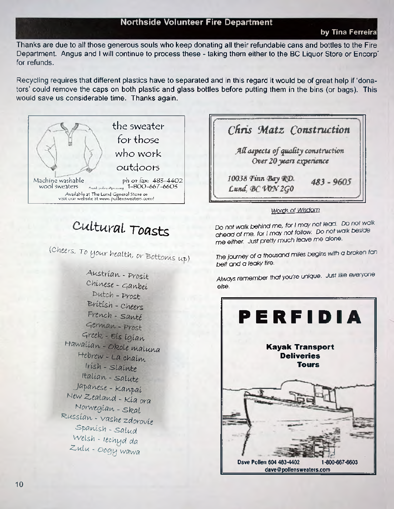#### **Northside Volunteer Fire Department**

#### **by Tina Ferreira**

Thanks are due to all those generous souls who keep donating all their refundable cans and bottles to the Fire Department. Angus and I will continue to process these - taking them either to the BC Liquor Store or Encorp' for refunds.

Recycling requires that different plastics have to separated and in this regard it would be of great help if 'donators' could remove the caps on both plastic and glass bottles before putting them in the bins (or bags). This would save us considerable time. Thanks again.



## *C-ultural Toasts*

*(Cheers, To your health, or Bottoms up)* 

*A u s tr ia \* ,* - *p ro£it C h in ese* \_ *^ a r i b t i* - *P vost B r itis h - cheers* French - Santé  $German$  - Prost  $Greek - Eis igian$ *Hawaiian,* **-** *okole rualuna Hebrew - La chdim 'nsh - m aiw te itaiia\*,* **-** *sa lu te Japanese - Ka\*^ai New Z'M tand - Kia ora H orw egia\*, - s k a t Kussia\*, - vashe* **z***dorovie ■spawish - sa lu d Welsh - 1echujd da Zuulu - oogij w aw a*



#### *wnrris of Wisdom*

Do not walk behind me, for I may not lead. Do not walk *ahead of me, for I may not follow. Do not walk beside me either. Just pretty much leave me alone.*

*The journey of a thousand miles begins with a broken fan belt and a leaky tire.*

*Always remember that you're unique. Just like everyone else.*

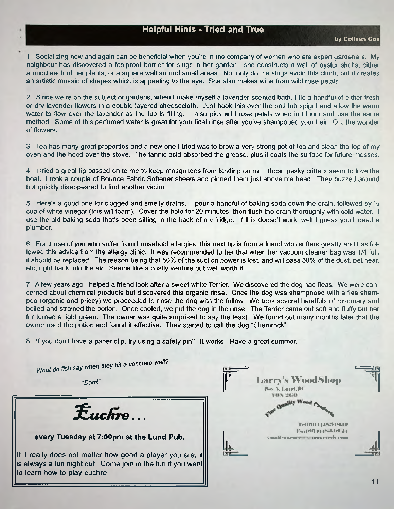### **Helpful Hints - Tried and True**

1. Socializing now and again can be beneficial when you're in the company of women who are expert gardeners. My neighbour has discovered a foolproof barrier for slugs in her garden, she constructs a wall of oyster shells, either around each of her plants, or a square wall around small areas. Not only do the slugs avoid this climb, but it creates an artistic mosaic of shapes which is appealing to the eye. She also makes wine from wild rose petals.

*2.* Since we're on the subject of gardens, when I make myself a lavender-scented bath, I tie a handful of either fresh or dry lavender flowers in a double layered cheesecloth. Just hook this over the bathtub spigot and allow the warm water to flow over the lavender as the tub is filling. I also pick wild rose petals when in bloom and use the same method. Some of this perfumed water is great for your final rinse after you've shampooed your hair. Oh, the wonder of flowers.

3. Tea has many great properties and a new one I tried was to brew a very strong pot of tea and clean the top of my oven and the hood over the stove. The tannic acid absorbed the grease, plus it coats the surface for future messes.

4. I tried a great tip passed on to me to keep mosquitoes from landing on me. these pesky critters seem to love the boat. I took a couple of Bounce Fabric Softener sheets and pinned them just above me head. They buzzed around but quickly disappeared to find another victim.

5. Here's a good one for clogged and smelly drains. I pour a handful of baking soda down the drain, followed by *1A* cup of white vinegar (this will foam). Cover the hole for 20 minutes, then flush the drain thoroughly with cold water. I use the old baking soda that's been sitting in the back of my fridge. If this doesn't work, well I guess you'll need a plumber.

6. For those of you who suffer from household allergies, this next tip is from a friend who suffers greatly and has followed this advice from the allergy clinic. It was recommended to her that when her vacuum cleaner bag was 1/4 full, it should be replaced. The reason being that 50% of the suction power is lost, and will pass 50% of the dust, pet hear etc, right back into the air. Seems like a costly venture but well worth it.

7. A few years ago I helped a friend look after a sweet white Terrier. We discovered the dog had fleas. We were concerned about chemical products but discovered this organic rinse. Once the dog was shampooed with a flea shampoo (organic and pricey) we proceeded to rinse the dog with the follow. We took several handfuls of rosemary and boiled and strained the potion. Once cooled, we put the dog in the rinse. The Terrier came out soft and fluffy but her fur turned a light green. The owner was quite surprised to say the least. We found out many months later that the owner used the potion and found it effective. They started to call the dog "Shamrock".

8. If you don't have a paper clip, try using a safety pin!! It works. Have a great summer.

| What do fish say when they hit a concrete wall?<br>"Dam!"                                                                                                                                                                                 | Larry's WoodShop<br>Hus 3, Land, BC<br>VON 2470 |  |
|-------------------------------------------------------------------------------------------------------------------------------------------------------------------------------------------------------------------------------------------|-------------------------------------------------|--|
| $E$ uchre                                                                                                                                                                                                                                 | TERO33452-DBI 9<br>Fax(60.1) 453-962.1          |  |
| every Tuesday at 7:00pm at the Lund Pub.<br>It it really does not matter how good a player you are, it <b>ill</b><br>is always a fun night out. Come join in the fun if you want $\parallel\!\!\parallel$<br>to learn how to play euchre. | countly warmer to account end, com-             |  |